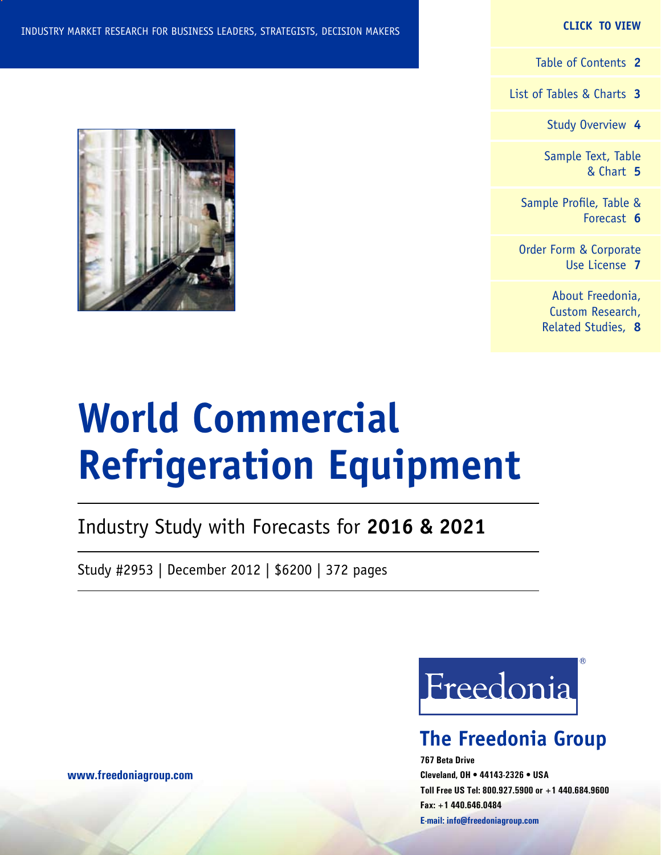#### **CLICK TO VIEW**

[Table of Contents](#page-1-0) **2**

[List of Tables & Charts](#page-2-0) **3**

[Study Overview](#page-3-0) **4**

[Sample Text, Table](#page-4-0) [& Chart](#page-4-0) **5**

[Sample Profile, Table &](#page-5-0) [Forecast](#page-5-0) **6**

[Order Form & Corporate](#page-6-0) [Use License](#page-6-0) **7**

> [About Freedonia,](#page-7-0) [Custom Research,](#page-7-0) [Related Studies,](#page-7-0) **8**

# **World Commercial Refrigeration Equipment**

Industry Study with Forecasts for **2016 & 2021**

Study #2953 | December 2012 | \$6200 | 372 pages



### **The Freedonia Group**

**767 Beta Drive Cleveland, OH • 44143-2326 • USA Toll Free US Tel: 800.927.5900 or +1 440.684.9600 Fax: +1 440.646.0484 E-mail: [info@freedoniagroup.com](mailto:info@freedoniagroup.com)**



**[www.freedoniagroup.com](http://www.freedoniagroup.com/Home.aspx?ReferrerId=FM-Bro)**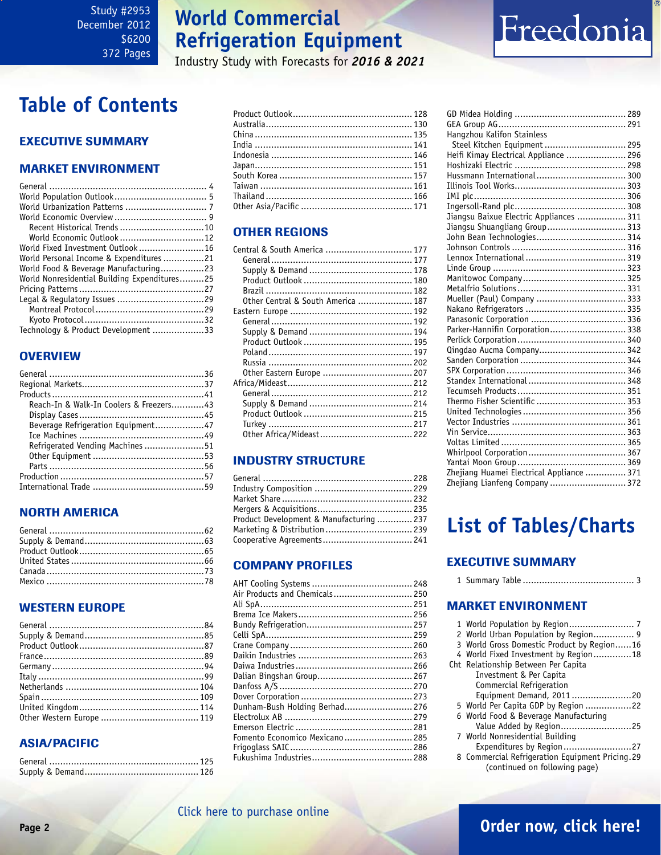### **World Commercial Refrigeration Equipment**

Industry Study with Forecasts for *2016 & 2021*

### <span id="page-1-0"></span>**Table of Contents**

### Executive Summary

### Market EnvironmenT

| Recent Historical Trends 10                  |  |
|----------------------------------------------|--|
| World Economic Outlook 12                    |  |
| World Fixed Investment Outlook16             |  |
| World Personal Income & Expenditures21       |  |
| World Food & Beverage Manufacturing23        |  |
| World Nonresidential Building Expenditures25 |  |
|                                              |  |
|                                              |  |
|                                              |  |
|                                              |  |
| Technology & Product Development 33          |  |

### **OVERVIEW**

| Reach-In & Walk-In Coolers & Freezers43 |  |
|-----------------------------------------|--|
|                                         |  |
| Beverage Refrigeration Equipment47      |  |
|                                         |  |
| Refrigerated Vending Machines51         |  |
|                                         |  |
|                                         |  |
|                                         |  |
|                                         |  |

### NORTH AMERICA

### WESTERN EUROPE

### ASIA/PACIFIC

### OTHER REGIONS

| Central & South America  177       |  |
|------------------------------------|--|
|                                    |  |
|                                    |  |
|                                    |  |
|                                    |  |
| 0ther Central & South America  187 |  |
|                                    |  |
|                                    |  |
|                                    |  |
|                                    |  |
|                                    |  |
|                                    |  |
|                                    |  |
|                                    |  |
|                                    |  |
|                                    |  |
|                                    |  |
|                                    |  |
|                                    |  |
|                                    |  |

### INDUSTRY STRUCTURE

| Product Development & Manufacturing  237 |  |
|------------------------------------------|--|
| Marketing & Distribution  239            |  |
| Cooperative Agreements 241               |  |

### Company Profiles

| Air Products and Chemicals 250  |  |
|---------------------------------|--|
| Ali SpA…………………………………………………… 251 |  |
|                                 |  |
|                                 |  |
|                                 |  |
|                                 |  |
|                                 |  |
|                                 |  |
|                                 |  |
|                                 |  |
|                                 |  |
| Dunham-Bush Holding Berhad 276  |  |
|                                 |  |
|                                 |  |
| Fomento Economico Mexicano 285  |  |
|                                 |  |
|                                 |  |
|                                 |  |

# Freedonia

| Hangzhou Kalifon Stainless                |  |
|-------------------------------------------|--|
| Steel Kitchen Equipment  295              |  |
| Heifi Kimay Electrical Appliance  296     |  |
|                                           |  |
| Hussmann International 300                |  |
|                                           |  |
|                                           |  |
|                                           |  |
| Jiangsu Baixue Electric Appliances  311   |  |
| Jiangsu Shuangliang Group 313             |  |
| John Bean Technologies 314                |  |
|                                           |  |
|                                           |  |
|                                           |  |
|                                           |  |
|                                           |  |
| Mueller (Paul) Company  333               |  |
|                                           |  |
|                                           |  |
| Parker-Hannifin Corporation 338           |  |
|                                           |  |
| Qingdao Aucma Company 342                 |  |
|                                           |  |
|                                           |  |
|                                           |  |
|                                           |  |
|                                           |  |
|                                           |  |
|                                           |  |
|                                           |  |
|                                           |  |
|                                           |  |
|                                           |  |
| Zhejiang Huamei Electrical Appliance  371 |  |
| Zhejiang Lianfeng Company  372            |  |

### **List of Tables/Charts**

### Executive Summary

|--|--|--|--|

#### Market EnvironmenT

| 1 World Population by Region 7                  |
|-------------------------------------------------|
|                                                 |
| 3 World Gross Domestic Product by Region16      |
| 4 World Fixed Investment by Region18            |
| Cht Relationship Between Per Capita             |
| Investment & Per Capita                         |
| Commercial Refrigeration                        |
| Equipment Demand, 201120                        |
| 5 World Per Capita GDP by Region 22             |
| 6 World Food & Beverage Manufacturing           |
| Value Added by Region25                         |
| 7 World Nonresidential Building                 |
| Expenditures by Region27                        |
| 8 Commercial Refrigeration Equipment Pricing.29 |
| (continued on following page)                   |
|                                                 |

### [Click here to purchase online](http://www.freedoniagroup.com/DocumentDetails.aspx?Referrerid=FM-Bro&StudyID=2953)

### **Page 2 [Order now, click here!](#page-6-0)**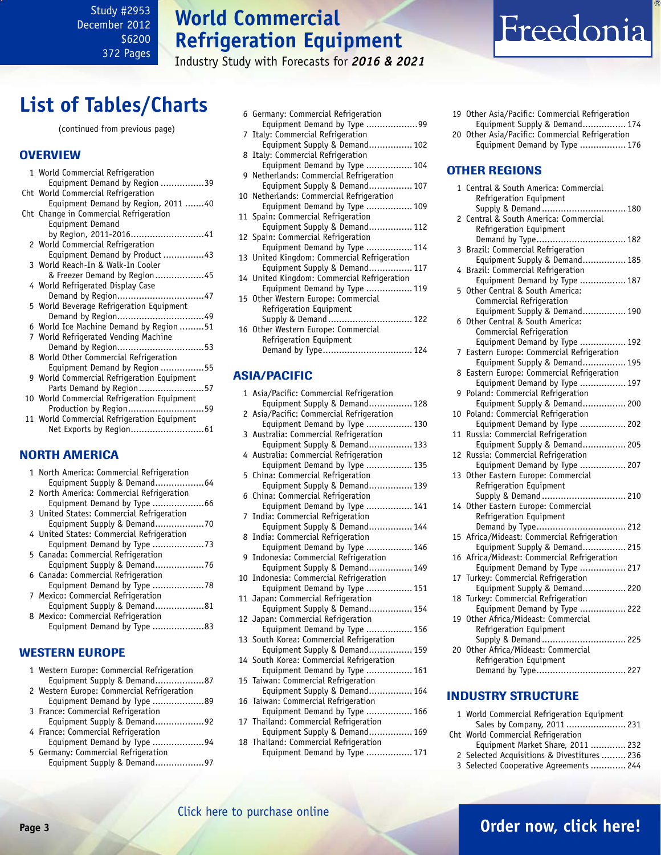### **World Commercial Refrigeration Equipment**

Industry Study with Forecasts for *2016 & 2021*

### <span id="page-2-0"></span>**List of Tables/Charts**

(continued from previous page)

### **OVERVIEW**

| 1 World Commercial Refrigeration            |
|---------------------------------------------|
| Equipment Demand by Region 39               |
| Cht World Commercial Refrigeration          |
| Equipment Demand by Region, 2011 40         |
| Cht Change in Commercial Refrigeration      |
| Equipment Demand                            |
| by Region, 2011-201641                      |
| 2 World Commercial Refrigeration            |
| Equipment Demand by Product43               |
| 3 World Reach-In & Walk-In Cooler           |
| & Freezer Demand by Region45                |
| 4 World Refrigerated Display Case           |
|                                             |
| 5 World Beverage Refrigeration Equipment    |
|                                             |
| 6 World Ice Machine Demand by Region 51     |
| 7 World Refrigerated Vending Machine        |
|                                             |
| 8 World Other Commercial Refrigeration      |
| Equipment Demand by Region 55               |
| 9 World Commercial Refrigeration Equipment  |
| Parts Demand by Region57                    |
| 10 World Commercial Refrigeration Equipment |
| Production by Region59                      |
| 11 World Commercial Refrigeration Equipment |
|                                             |
|                                             |
|                                             |

### NORTH AMERICA

| Equipment Supply & Demand64 |
|-----------------------------|
|                             |
|                             |
|                             |
|                             |
|                             |
|                             |
|                             |
|                             |
|                             |
|                             |
|                             |
| Equipment Supply & Demand81 |
|                             |
| Equipment Demand by Type 83 |
|                             |

### WESTERN EUROPE

| 1 Western Europe: Commercial Refrigeration |  |
|--------------------------------------------|--|
| Equipment Supply & Demand87                |  |
| 2 Western Europe: Commercial Refrigeration |  |
| Equipment Demand by Type 89                |  |
| 3 France: Commercial Refrigeration         |  |
| Equipment Supply & Demand92                |  |
| 4 France: Commercial Refrigeration         |  |
| Equipment Demand by Type 94                |  |
| 5 Germany: Commercial Refrigeration        |  |
| Equipment Supply & Demand97                |  |

| 6 Germany: Commercial Refrigeration         |
|---------------------------------------------|
| Equipment Demand by Type 99                 |
| 7 Italy: Commercial Refrigeration           |
| Equipment Supply & Demand 102               |
| 8 Italy: Commercial Refrigeration           |
| Equipment Demand by Type  104               |
| 9 Netherlands: Commercial Refrigeration     |
| Equipment Supply & Demand 107               |
| 10 Netherlands: Commercial Refrigeration    |
| Equipment Demand by Type  109               |
| 11 Spain: Commercial Refrigeration          |
| Equipment Supply & Demand 112               |
| 12 Spain: Commercial Refrigeration          |
|                                             |
| Equipment Demand by Type  114               |
| 13 United Kingdom: Commercial Refrigeration |
| Equipment Supply & Demand 117               |
| 14 United Kingdom: Commercial Refrigeration |
| Equipment Demand by Type  119               |
| 15 Other Western Europe: Commercial         |
| Refrigeration Equipment                     |
| Supply & Demand  122                        |
| 16 Other Western Europe: Commercial         |
| Refrigeration Equipment                     |
| Demand by Type 124                          |
|                                             |

### ASIA/PACIFIC

|   | 1 Asia/Pacific: Commercial Refrigeration                                  |
|---|---------------------------------------------------------------------------|
|   | Equipment Supply & Demand 128<br>2 Asia/Pacific: Commercial Refrigeration |
|   | Equipment Demand by Type  130                                             |
| 3 | Australia: Commercial Refrigeration                                       |
|   | Equipment Supply & Demand 133                                             |
|   | 4 Australia: Commercial Refrigeration                                     |
|   | Equipment Demand by Type  135                                             |
| 5 | China: Commercial Refrigeration                                           |
|   | Equipment Supply & Demand 139                                             |
| 6 | China: Commercial Refrigeration                                           |
|   | Equipment Demand by Type  141                                             |
| 7 | India: Commercial Refrigeration                                           |
|   | Equipment Supply & Demand 144                                             |
| 8 | India: Commercial Refrigeration                                           |
|   | Equipment Demand by Type  146                                             |
| g | Indonesia: Commercial Refrigeration                                       |
|   | Equipment Supply & Demand 149                                             |
|   | 10 Indonesia: Commercial Refrigeration                                    |
|   | Equipment Demand by Type  151                                             |
|   | 11 Japan: Commercial Refrigeration                                        |
|   | Equipment Supply & Demand 154                                             |
|   | 12 Japan: Commercial Refrigeration                                        |
|   | Equipment Demand by Type  156                                             |
|   | 13 South Korea: Commercial Refrigeration                                  |
|   | Equipment Supply & Demand 159                                             |
|   | 14 South Korea: Commercial Refrigeration                                  |
|   | Equipment Demand by Type  161                                             |
|   | 15 Taiwan: Commercial Refrigeration                                       |
|   | Equipment Supply & Demand 164                                             |
|   | 16 Taiwan: Commercial Refrigeration                                       |
|   | Equipment Demand by Type  166                                             |
|   | 17 Thailand: Commercial Refrigeration                                     |
|   | Equipment Supply & Demand 169                                             |
|   | 18 Thailand: Commercial Refrigeration                                     |
|   | Equipment Demand by Type  171                                             |
|   |                                                                           |

19 Other Asia/Pacific: Commercial Refrigeration Equipment Supply & Demand................ 174 20 Other Asia/Pacific: Commercial Refrigeration

Freedonia

Equipment Demand by Type ................. 176

#### OTHER REGIONS

|                | 1 Central & South America: Commercial                                     |
|----------------|---------------------------------------------------------------------------|
|                | Refrigeration Equipment                                                   |
|                | Supply & Demand  180                                                      |
| $\overline{c}$ | Central & South America: Commercial                                       |
|                | Refrigeration Equipment                                                   |
|                | Demand by Type 182                                                        |
| 3              | Brazil: Commercial Refrigeration                                          |
|                | Equipment Supply & Demand 185                                             |
| 4              | Brazil: Commercial Refrigeration                                          |
|                | Equipment Demand by Type  187                                             |
| 5              | Other Central & South America:                                            |
|                | Commercial Refrigeration                                                  |
|                | Equipment Supply & Demand 190                                             |
| 6              | Other Central & South America:                                            |
|                | <b>Commercial Refrigeration</b>                                           |
| 7              | Equipment Demand by Type  192<br>Eastern Europe: Commercial Refrigeration |
|                | Equipment Supply & Demand 195                                             |
| 8              | Eastern Europe: Commercial Refrigeration                                  |
|                | Equipment Demand by Type  197                                             |
| g              | Poland: Commercial Refrigeration                                          |
|                | Equipment Supply & Demand 200                                             |
| 10             | Poland: Commercial Refrigeration                                          |
|                | Equipment Demand by Type  202                                             |
| 11             | Russia: Commercial Refrigeration                                          |
|                | Equipment Supply & Demand 205                                             |
| 12             | Russia: Commercial Refrigeration                                          |
|                | Equipment Demand by Type  207                                             |
| 13             | Other Eastern Europe: Commercial                                          |
|                | Refrigeration Equipment                                                   |
|                | Supply & Demand  210                                                      |
|                | 14 Other Eastern Europe: Commercial                                       |
|                | Refrigeration Equipment                                                   |
|                | Demand by Type 212                                                        |
|                | 15 Africa/Mideast: Commercial Refrigeration                               |
|                | Equipment Supply & Demand 215                                             |
| 16             | Africa/Mideast: Commercial Refrigeration                                  |
|                | Equipment Demand by Type  217                                             |
| 17             | Turkey: Commercial Refrigeration<br>Equipment Supply & Demand 220         |
| 18             | Turkey: Commercial Refrigeration                                          |
|                | Equipment Demand by Type  222                                             |
| 19             | Other Africa/Mideast: Commercial                                          |
|                | Refrigeration Equipment                                                   |
|                | Supply & Demand  225                                                      |
| 20             | Other Africa/Mideast: Commercial                                          |
|                | Refrigeration Equipment                                                   |
|                |                                                                           |
|                | Demand by Type 227                                                        |

#### INDUSTRY STRUCTURE

| 1 World Commercial Refrigeration Equipment  |  |
|---------------------------------------------|--|
| Sales by Company, 2011  231                 |  |
| Cht World Commercial Refrigeration          |  |
| Equipment Market Share, 2011  232           |  |
| 2 Selected Acquisitions & Divestitures  236 |  |
| 3 Selected Cooperative Agreements  244      |  |
|                                             |  |

### [Click here to purchase online](http://www.freedoniagroup.com/DocumentDetails.aspx?Referrerid=FM-Bro&StudyID=2953)

### **Page 3 [Order now, click here!](#page-6-0)**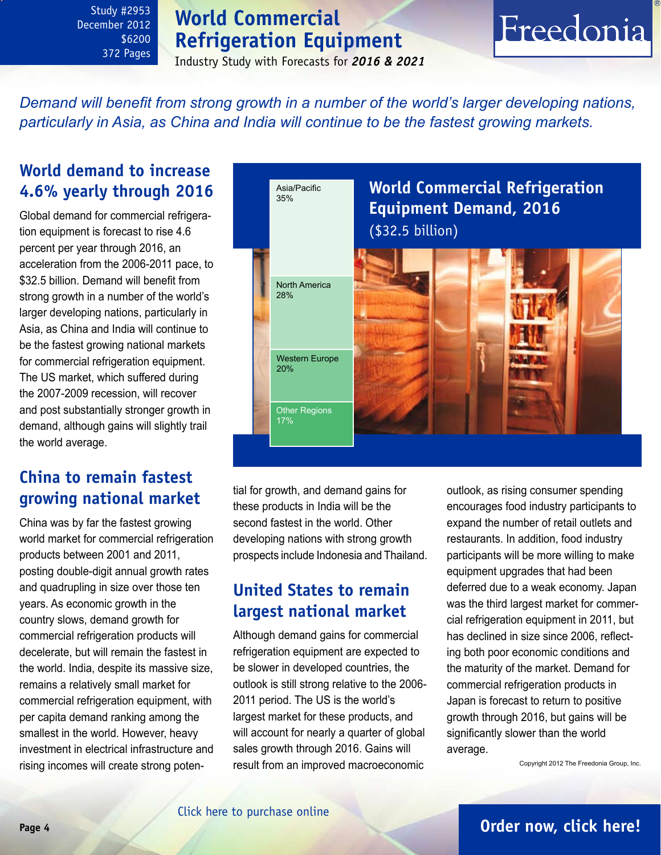### **World Commercial Refrigeration Equipment**

Industry Study with Forecasts for *2016 & 2021*

# Freedonia

<span id="page-3-0"></span>*Demand will benefit from strong growth in a number of the world's larger developing nations, particularly in Asia, as China and India will continue to be the fastest growing markets.* 

### **World demand to increase 4.6% yearly through 2016**

Global demand for commercial refrigeration equipment is forecast to rise 4.6 percent per year through 2016, an acceleration from the 2006-2011 pace, to \$32.5 billion. Demand will benefit from strong growth in a number of the world's larger developing nations, particularly in Asia, as China and India will continue to be the fastest growing national markets for commercial refrigeration equipment. The US market, which suffered during the 2007-2009 recession, will recover and post substantially stronger growth in demand, although gains will slightly trail the world average.

### **China to remain fastest growing national market**

China was by far the fastest growing world market for commercial refrigeration products between 2001 and 2011, posting double-digit annual growth rates and quadrupling in size over those ten years. As economic growth in the country slows, demand growth for commercial refrigeration products will decelerate, but will remain the fastest in the world. India, despite its massive size, remains a relatively small market for commercial refrigeration equipment, with per capita demand ranking among the smallest in the world. However, heavy investment in electrical infrastructure and rising incomes will create strong poten-



tial for growth, and demand gains for these products in India will be the second fastest in the world. Other developing nations with strong growth prospects include Indonesia and Thailand.

### **United States to remain largest national market**

Although demand gains for commercial refrigeration equipment are expected to be slower in developed countries, the outlook is still strong relative to the 2006- 2011 period. The US is the world's largest market for these products, and will account for nearly a quarter of global sales growth through 2016. Gains will result from an improved macroeconomic

outlook, as rising consumer spending encourages food industry participants to expand the number of retail outlets and restaurants. In addition, food industry participants will be more willing to make equipment upgrades that had been deferred due to a weak economy. Japan was the third largest market for commercial refrigeration equipment in 2011, but has declined in size since 2006, reflecting both poor economic conditions and the maturity of the market. Demand for commercial refrigeration products in Japan is forecast to return to positive growth through 2016, but gains will be significantly slower than the world average.

Copyright 2012 The Freedonia Group, Inc.

### **Page 4 [Order now, click here!](#page-6-0)**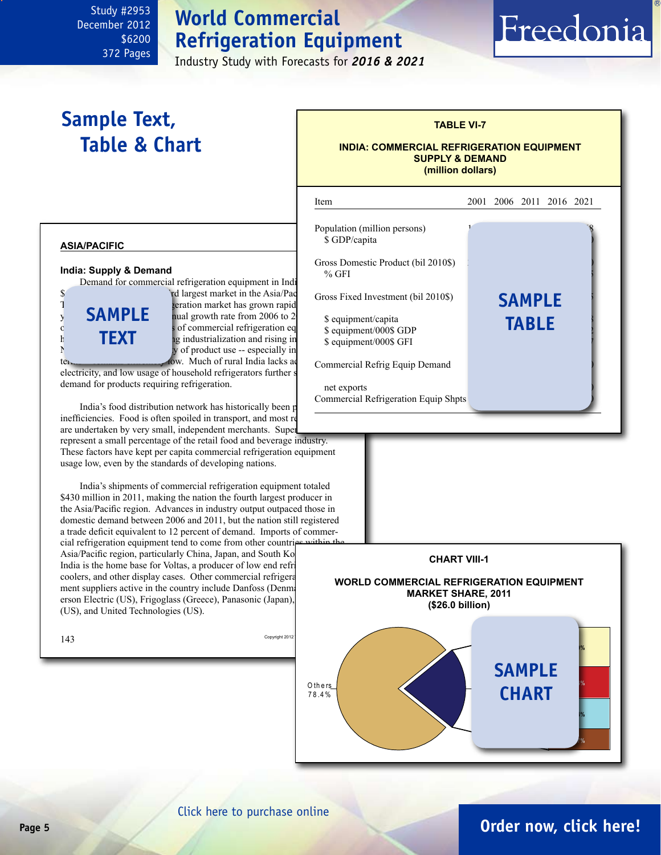### **World Commercial Refrigeration Equipment**

Industry Study with Forecasts for *2016 & 2021*

j

### **Sample Text, Table & Chart**

<span id="page-4-0"></span>Study #2953 December 2012

> \$6200 372 Pages

#### **TABLE VI-7**

Freedonia

#### **INDIA: COMMERCIAL REFRIGERATION EQUIPMENT SUPPLY & DEMAND (million dollars)**

### Item 2001 2006 2011 2016 2021 Population (million persons) \$ GDP/capita Gross Domestic Product (bil 2010\$)<br>% GFI % GFI 20.4 30.3 30.7 31.9 32.5 Gross Fixed Investment (bil 2010\$) \$ equipment/capita \$ equipment/000\$ GDP \$ equipment/000\$ GFI Commercial Refrig Equip Demand net exports Commercial Refrigeration Equip Shpts **sample table**



#### **asia/pacific**

#### **India: Supply & Demand**

**sample**

**text**

Demand for commercial refrigeration equipment in Indi

\$490 million in 2011, the third largest market in the Asia/Pacific region.  $T$  is  $T = I_0 - I_1$  referred references rapidly in recent rapid **y SAMPLE** pual growth rate from 2006 to 2  $\overline{\text{c}}$  s of commercial refrigeration equipments. have benefited from increasing industrialization and rising income levels.  $\Gamma$  Nevertheless, overall internal intensity of product use -- especially in terms remains extremely low. Much of rural India lacks and

electricity, and low usage of household refrigerators further s demand for products requiring refrigeration.

India's food distribution network has historically been p inefficiencies. Food is often spoiled in transport, and most re are undertaken by very small, independent merchants. Super represent a small percentage of the retail food and beverage industry.

These factors have kept per capita commercial refrigeration equipment usage low, even by the standards of developing nations.

India's shipments of commercial refrigeration equipment totaled \$430 million in 2011, making the nation the fourth largest producer in the Asia/Pacific region. Advances in industry output outpaced those in domestic demand between 2006 and 2011, but the nation still registered a trade deficit equivalent to 12 percent of demand. Imports of commercial refrigeration equipment tend to come from other countries with Asia/Pacific region, particularly China, Japan, and South Ko

India is the home base for Voltas, a producer of low end refrigerations, coolers, and other display cases. Other commercial refrigeration equipment suppliers active in the country include Danfoss (Denmark), Emerson Electric (US), Frigoglass (Greece), Panasonic (Japan), (US), and United Technologies (US).

|  | I<br>v |
|--|--------|

### **Page 5 [Order now, click here!](#page-6-0)**

#### [Click here to purchase online](http://www.freedoniagroup.com/DocumentDetails.aspx?Referrerid=FM-Bro&StudyID=2953)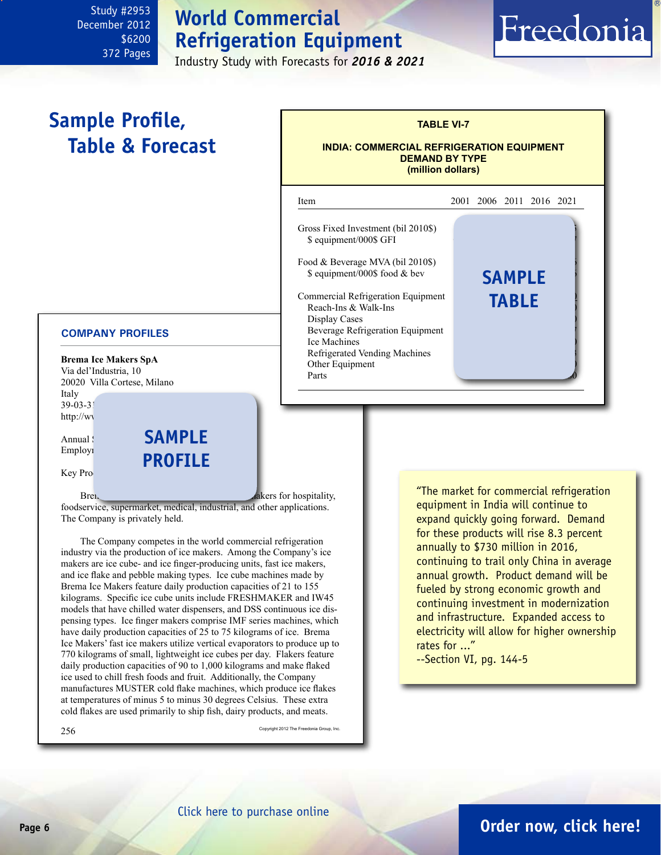### **World Commercial Refrigeration Equipment**

Industry Study with Forecasts for *2016 & 2021*

# Freedonia

#### <span id="page-5-0"></span>**Brema Ice Makers SpA** Via del'Industria, 10 20020 Villa Cortese, Milano 39-03-31  $http://wv$ Annual **SAMPLE** Employi **COMPANY PROFILES TABLE VI-7 INDIA: COMMERCIAL REFRIGERATION EQUIPMENT DEMAND BY TYPE (million dollars)** i Item 2001 2006 2011 2016 2021 Gross Fixed Investment (bil 2010\$) \$ equipment/000\$ GFI Food & Beverage MVA (bil 2010\$).  $$ equipment/000$ food & bev$ Commercial Refrigeration Equipment Reach-Ins & Walk-Ins Display Cases Beverage Refrigeration Equipment Ice Machines Refrigerated Vending Machines Other Equipment Parts  $\sim$  30 **Sample Profile, Table & Forecast profile sample table**

Key Prod

Italy

 $B$ rema Ice Makers is a manufacturer of ice manufacturer of ice manufacturer of ice manufacturer of  $A$ foodservice, supermarket, medical, industrial, and other applications. The Company is privately held.

The Company competes in the world commercial refrigeration industry via the production of ice makers. Among the Company's ice makers are ice cube- and ice finger-producing units, fast ice makers, and ice flake and pebble making types. Ice cube machines made by Brema Ice Makers feature daily production capacities of 21 to 155 kilograms. Specific ice cube units include FRESHMAKER and IW45 models that have chilled water dispensers, and DSS continuous ice dispensing types. Ice finger makers comprise IMF series machines, which have daily production capacities of 25 to 75 kilograms of ice. Brema Ice Makers' fast ice makers utilize vertical evaporators to produce up to 770 kilograms of small, lightweight ice cubes per day. Flakers feature daily production capacities of 90 to 1,000 kilograms and make flaked ice used to chill fresh foods and fruit. Additionally, the Company manufactures MUSTER cold flake machines, which produce ice flakes at temperatures of minus 5 to minus 30 degrees Celsius. These extra cold flakes are used primarily to ship fish, dairy products, and meats.

256 Copyright 2012 The Freedonia Group, Inc.

"The market for commercial refrigeration equipment in India will continue to expand quickly going forward. Demand for these products will rise 8.3 percent annually to \$730 million in 2016, continuing to trail only China in average annual growth. Product demand will be fueled by strong economic growth and continuing investment in modernization and infrastructure. Expanded access to electricity will allow for higher ownership rates for ..."

--Section VI, pg. 144-5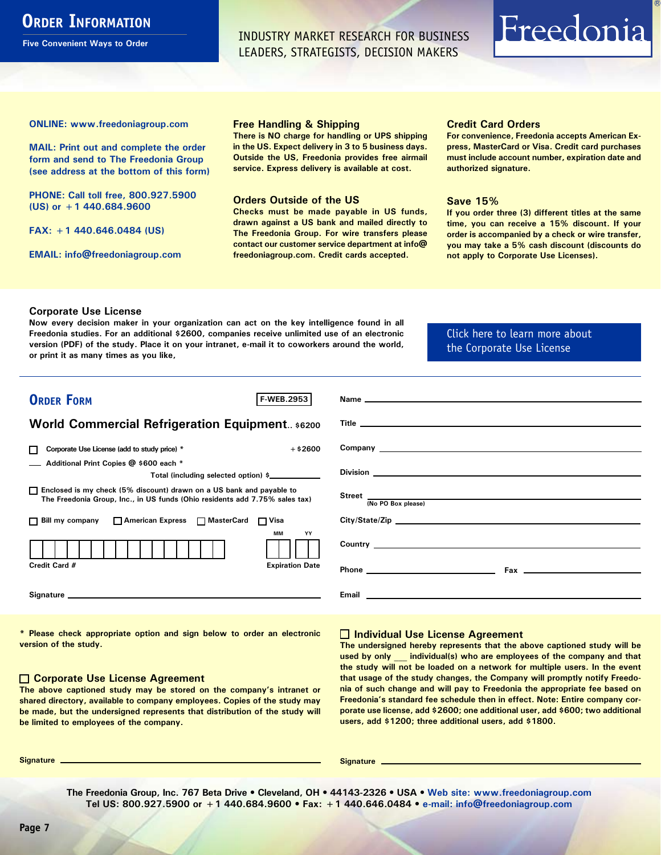### <span id="page-6-0"></span>**ORDER INFORMATION**

**Five Convenient Ways to Order**

INDUSTRY MARKET RESEARCH FOR BUSINESS LEADERS, STRATEGISTS, DECISION MAKERS

# Freedonia

**ONLINE: [www.freedoniagroup.com](http://www.freedoniagroup.com/DocumentDetails.aspx?Referrerid=FM-Bro&StudyID=2953)**

**MAIL: Print out and complete the order form and send to The Freedonia Group (see address at the bottom of this form)**

**PHONE: Call toll free, 800.927.5900 (US) or +1 440.684.9600**

**FAX: +1 440.646.0484 (US)**

**EMAIL: [info@freedoniagroup.com](mailto:info@freedoniagroup.com)**

#### **Free Handling & Shipping**

**There is NO charge for handling or UPS shipping in the US. Expect delivery in 3 to 5 business days. Outside the US, Freedonia provides free airmail service. Express delivery is available at cost.**

#### **Orders Outside of the US**

**Checks must be made payable in US funds, drawn against a US bank and mailed directly to The Freedonia Group. For wire transfers please contact our customer service department at info@ freedoniagroup.com. Credit cards accepted.**

#### **Credit Card Orders**

**For convenience, Freedonia accepts American Express, MasterCard or Visa. Credit card purchases must include account number, expiration date and authorized signature.**

#### **Save 15%**

**If you order three (3) different titles at the same time, you can receive a 15% discount. If your order is accompanied by a check or wire transfer, you may take a 5% cash discount (discounts do not apply to Corporate Use Licenses).**

#### **Corporate Use License**

**Now every decision maker in your organization can act on the key intelligence found in all Freedonia studies. For an additional \$2600, companies receive unlimited use of an electronic version (PDF) of the study. Place it on your intranet, e-mail it to coworkers around the world, or print it as many times as you like,** 

[Click here to learn more about](http://www.freedoniagroup.com/pdf/FreedoniaCULBro.pdf)  [the Corporate Use License](http://www.freedoniagroup.com/pdf/FreedoniaCULBro.pdf)

| <b>ORDER FORM</b><br><b>F-WEB.2953</b>                                                                                                                                                                                         |                                                                                                                                                                                                                                     |
|--------------------------------------------------------------------------------------------------------------------------------------------------------------------------------------------------------------------------------|-------------------------------------------------------------------------------------------------------------------------------------------------------------------------------------------------------------------------------------|
|                                                                                                                                                                                                                                |                                                                                                                                                                                                                                     |
| <b>World Commercial Refrigeration Equipment \$6200</b>                                                                                                                                                                         |                                                                                                                                                                                                                                     |
|                                                                                                                                                                                                                                |                                                                                                                                                                                                                                     |
| Corporate Use License (add to study price) *<br>$+$ \$2600<br>П                                                                                                                                                                | Company League and Company Company Company Company Company Company Company Company Company Company Company Company Company Company Company Company Company Company Company Company Company Company Company Company Company Com      |
| Additional Print Copies @ \$600 each *                                                                                                                                                                                         |                                                                                                                                                                                                                                     |
| Total (including selected option) \$                                                                                                                                                                                           |                                                                                                                                                                                                                                     |
| □ Enclosed is my check (5% discount) drawn on a US bank and payable to<br>The Freedonia Group, Inc., in US funds (Ohio residents add 7.75% sales tax)                                                                          | Street  Mo PO Box please)                                                                                                                                                                                                           |
|                                                                                                                                                                                                                                |                                                                                                                                                                                                                                     |
| □ Bill my company □ American Express □ MasterCard □ Visa                                                                                                                                                                       |                                                                                                                                                                                                                                     |
| МM<br>YY                                                                                                                                                                                                                       |                                                                                                                                                                                                                                     |
|                                                                                                                                                                                                                                | Country <u>example</u> and the control of the control of the control of the control of the control of the control of the control of the control of the control of the control of the control of the control of the control of the c |
| Credit Card #<br><b>Expiration Date</b>                                                                                                                                                                                        |                                                                                                                                                                                                                                     |
|                                                                                                                                                                                                                                |                                                                                                                                                                                                                                     |
| Signature experience and the state of the state of the state of the state of the state of the state of the state of the state of the state of the state of the state of the state of the state of the state of the state of th | Email and the contract of the contract of the contract of the contract of the contract of the contract of the                                                                                                                       |
|                                                                                                                                                                                                                                |                                                                                                                                                                                                                                     |

**\* Please check appropriate option and sign below to order an electronic version of the study.**

#### **Corporate Use License Agreement**

**The above captioned study may be stored on the company's intranet or shared directory, available to company employees. Copies of the study may be made, but the undersigned represents that distribution of the study will be limited to employees of the company.**

#### **Individual Use License Agreement**

**The undersigned hereby represents that the above captioned study will be used by only \_\_\_ individual(s) who are employees of the company and that the study will not be loaded on a network for multiple users. In the event that usage of the study changes, the Company will promptly notify Freedonia of such change and will pay to Freedonia the appropriate fee based on Freedonia's standard fee schedule then in effect. Note: Entire company corporate use license, add \$2600; one additional user, add \$600; two additional users, add \$1200; three additional users, add \$1800.**

**Signature Signature**

**The Freedonia Group, Inc. 767 Beta Drive • Cleveland, OH • 44143-2326 • USA • [Web site: www.freedoniagroup.com](http://www.freedoniagroup.com/Home.aspx?ReferrerId=FM-Bro) Tel US: 800.927.5900 or +1 440.684.9600 • Fax: +1 440.646.0484 • [e-mail: info@freedoniagroup.com](mailto:info@freedoniagroup.com)**